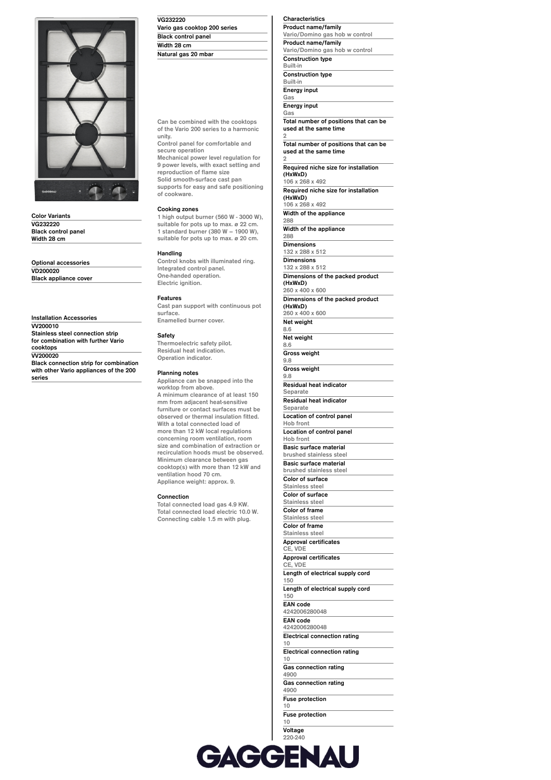

**Color Variants VG232220 Black control panel Width 28 cm**

**Optional accessories VD200020 Black appliance cover**

**Installation Accessories VV200010 Stainless steel connection strip for combination with further Vario cooktops VV200020 Black connection strip for combination with other Vario appliances of the 200 series**

## **VG232220 Vario gas cooktop 200 series Black control panel Width 28 cm Natural gas 20 mbar**

**Can be combined with the cooktops of the Vario 200 series to a harmonic unity.**

**Control panel for comfortable and secure operation Mechanical power level regulation for 9 power levels, with exact setting and reproduction of flame size Solid smooth-surface cast pan supports for easy and safe positioning of cookware.**

## **Cooking zones**

**1 high output burner (560 W - 3000 W), suitable for pots up to max. ø 22 cm. 1 standard burner (380 W – 1900 W), suitable for pots up to max. ø 20 cm.**

#### **Handling**

**Control knobs with illuminated ring. Integrated control panel. One-handed operation. Electric ignition.**

# **Features**

**Cast pan support with continuous pot surface. Enamelled burner cover.**

## **Safety**

**Thermoelectric safety pilot. Residual heat indication. Operation indicator.**

#### **Planning notes**

**Appliance can be snapped into the worktop from above. A minimum clearance of at least 150 mm from adjacent heat-sensitive furniture or contact surfaces must be observed or thermal insulation fitted. With a total connected load of more than 12 kW local regulations concerning room ventilation, room size and combination of extraction or recirculation hoods must be observed. Minimum clearance between gas cooktop(s) with more than 12 kW and ventilation hood 70 cm. Appliance weight: approx. 9.**

## **Connection**

**Total connected load gas 4.9 KW. Total connected load electric 10.0 W. Connecting cable 1.5 m with plug.**

**Characteristics Product name/family Vario/Domino gas hob w control Product name/family Vario/Domino gas hob w control Construction type Built-in Construction type Built-in Energy input Energy input Gas Total number of positions that can be**

**used at the same time 2 Total number of positions that can be**

**used at the same time 2**

**Required niche size for installation (HxWxD) 106 x 268 x 492**

**Required niche size for installation (HxWxD)**

**Gas**

**106 x 268 x 492 Width of the appliance 288**

**Width of the appliance**

**288 Dimensions**

**132 x 288 x 512 Dimensions 132 x 288 x 512**

**Dimensions of the packed product (HxWxD) 260 x 400 x 600**

**Dimensions of the packed product (HxWxD)**

**260 x 400 x 600**

**Net weight 8.6 Net weight**

**8.6 Gross weight**

**9.8 Gross weight**

**9.8**

**Residual heat indicator Separate**

**Residual heat indicator Separate**

**Location of control panel Hob front**

**Location of control panel Hob front** 

**Basic surface material brushed stainless steel**

**Basic surface material brushed stainless steel**

**Color of surface Stainless steel**

**Color of surface**

**Stainless steel**

**Color of frame Stainless steel**

**Color of frame Stainless steel**

**Approval certificates CE, VDE**

**Approval certificates CE, VDE**

**Length of electrical supply cord 150**

**Length of electrical supply cord**

**150 EAN code**

**4242006280048 EAN code**

**4242006280048 Electrical connection rating**

**10**

**Electrical connection rating 10**

**Gas connection rating 4900**

**Gas connection rating 4900 Fuse protection**

**10 Fuse protection 10**



**Voltage 220-240**